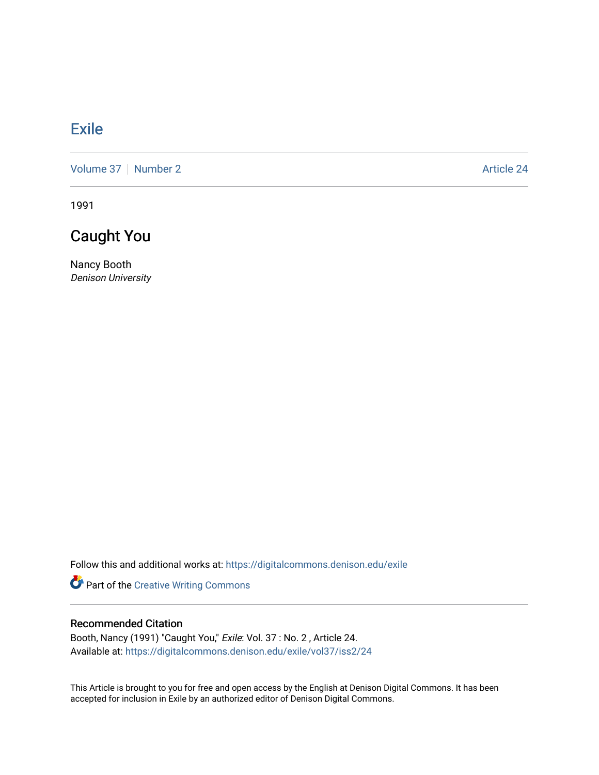## **[Exile](https://digitalcommons.denison.edu/exile)**

[Volume 37](https://digitalcommons.denison.edu/exile/vol37) | [Number 2](https://digitalcommons.denison.edu/exile/vol37/iss2) Article 24

1991

## Caught You

Nancy Booth Denison University

Follow this and additional works at: [https://digitalcommons.denison.edu/exile](https://digitalcommons.denison.edu/exile?utm_source=digitalcommons.denison.edu%2Fexile%2Fvol37%2Fiss2%2F24&utm_medium=PDF&utm_campaign=PDFCoverPages) 

Part of the [Creative Writing Commons](http://network.bepress.com/hgg/discipline/574?utm_source=digitalcommons.denison.edu%2Fexile%2Fvol37%2Fiss2%2F24&utm_medium=PDF&utm_campaign=PDFCoverPages) 

## Recommended Citation

Booth, Nancy (1991) "Caught You," Exile: Vol. 37 : No. 2 , Article 24. Available at: [https://digitalcommons.denison.edu/exile/vol37/iss2/24](https://digitalcommons.denison.edu/exile/vol37/iss2/24?utm_source=digitalcommons.denison.edu%2Fexile%2Fvol37%2Fiss2%2F24&utm_medium=PDF&utm_campaign=PDFCoverPages)

This Article is brought to you for free and open access by the English at Denison Digital Commons. It has been accepted for inclusion in Exile by an authorized editor of Denison Digital Commons.